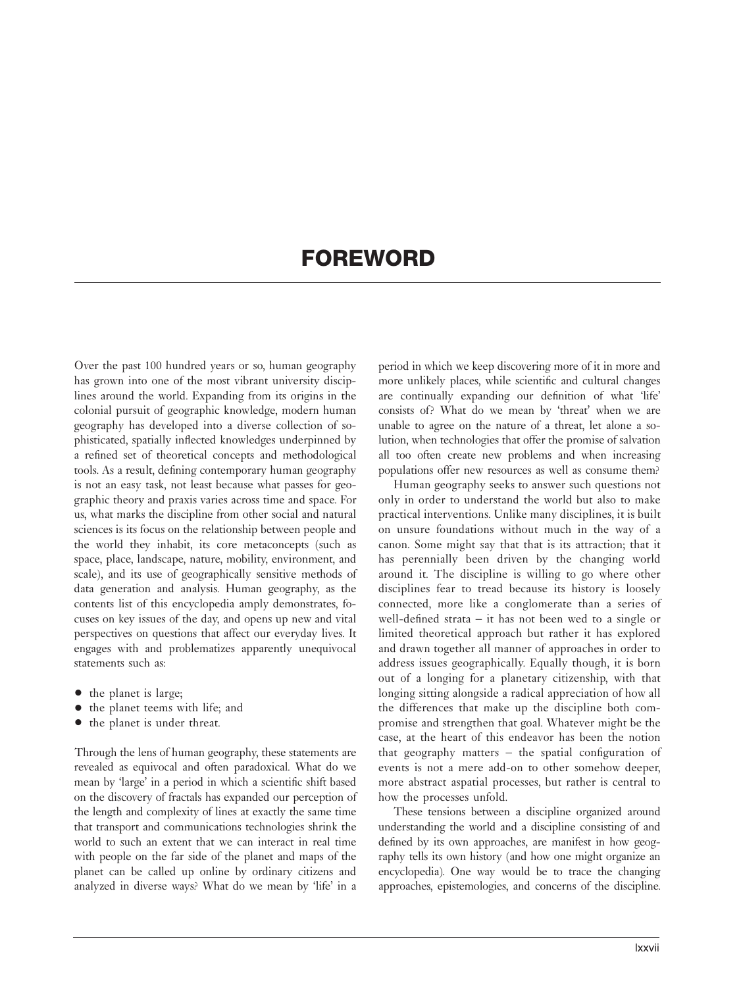## FOREWORD

Over the past 100 hundred years or so, human geography has grown into one of the most vibrant university disciplines around the world. Expanding from its origins in the colonial pursuit of geographic knowledge, modern human geography has developed into a diverse collection of sophisticated, spatially inflected knowledges underpinned by a refined set of theoretical concepts and methodological tools. As a result, defining contemporary human geography is not an easy task, not least because what passes for geographic theory and praxis varies across time and space. For us, what marks the discipline from other social and natural sciences is its focus on the relationship between people and the world they inhabit, its core metaconcepts (such as space, place, landscape, nature, mobility, environment, and scale), and its use of geographically sensitive methods of data generation and analysis. Human geography, as the contents list of this encyclopedia amply demonstrates, focuses on key issues of the day, and opens up new and vital perspectives on questions that affect our everyday lives. It engages with and problematizes apparently unequivocal statements such as:

- the planet is large;
- the planet teems with life; and
- the planet is under threat.

Through the lens of human geography, these statements are revealed as equivocal and often paradoxical. What do we mean by 'large' in a period in which a scientific shift based on the discovery of fractals has expanded our perception of the length and complexity of lines at exactly the same time that transport and communications technologies shrink the world to such an extent that we can interact in real time with people on the far side of the planet and maps of the planet can be called up online by ordinary citizens and analyzed in diverse ways? What do we mean by 'life' in a

period in which we keep discovering more of it in more and more unlikely places, while scientific and cultural changes are continually expanding our definition of what 'life' consists of? What do we mean by 'threat' when we are unable to agree on the nature of a threat, let alone a solution, when technologies that offer the promise of salvation all too often create new problems and when increasing populations offer new resources as well as consume them?

Human geography seeks to answer such questions not only in order to understand the world but also to make practical interventions. Unlike many disciplines, it is built on unsure foundations without much in the way of a canon. Some might say that that is its attraction; that it has perennially been driven by the changing world around it. The discipline is willing to go where other disciplines fear to tread because its history is loosely connected, more like a conglomerate than a series of well-defined strata – it has not been wed to a single or limited theoretical approach but rather it has explored and drawn together all manner of approaches in order to address issues geographically. Equally though, it is born out of a longing for a planetary citizenship, with that longing sitting alongside a radical appreciation of how all the differences that make up the discipline both compromise and strengthen that goal. Whatever might be the case, at the heart of this endeavor has been the notion that geography matters – the spatial configuration of events is not a mere add-on to other somehow deeper, more abstract aspatial processes, but rather is central to how the processes unfold.

These tensions between a discipline organized around understanding the world and a discipline consisting of and defined by its own approaches, are manifest in how geography tells its own history (and how one might organize an encyclopedia). One way would be to trace the changing approaches, epistemologies, and concerns of the discipline.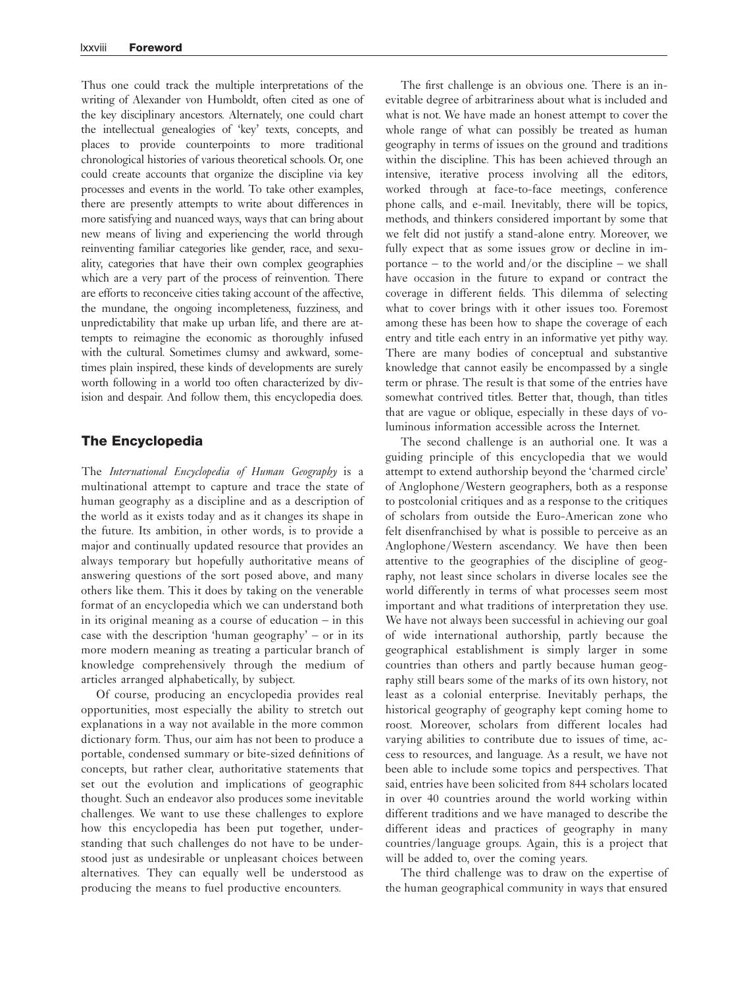Thus one could track the multiple interpretations of the writing of Alexander von Humboldt, often cited as one of the key disciplinary ancestors. Alternately, one could chart the intellectual genealogies of 'key' texts, concepts, and places to provide counterpoints to more traditional chronological histories of various theoretical schools. Or, one could create accounts that organize the discipline via key processes and events in the world. To take other examples, there are presently attempts to write about differences in more satisfying and nuanced ways, ways that can bring about new means of living and experiencing the world through reinventing familiar categories like gender, race, and sexuality, categories that have their own complex geographies which are a very part of the process of reinvention. There are efforts to reconceive cities taking account of the affective, the mundane, the ongoing incompleteness, fuzziness, and unpredictability that make up urban life, and there are attempts to reimagine the economic as thoroughly infused with the cultural. Sometimes clumsy and awkward, sometimes plain inspired, these kinds of developments are surely worth following in a world too often characterized by division and despair. And follow them, this encyclopedia does.

## The Encyclopedia

The International Encyclopedia of Human Geography is a multinational attempt to capture and trace the state of human geography as a discipline and as a description of the world as it exists today and as it changes its shape in the future. Its ambition, in other words, is to provide a major and continually updated resource that provides an always temporary but hopefully authoritative means of answering questions of the sort posed above, and many others like them. This it does by taking on the venerable format of an encyclopedia which we can understand both in its original meaning as a course of education – in this case with the description 'human geography' – or in its more modern meaning as treating a particular branch of knowledge comprehensively through the medium of articles arranged alphabetically, by subject.

Of course, producing an encyclopedia provides real opportunities, most especially the ability to stretch out explanations in a way not available in the more common dictionary form. Thus, our aim has not been to produce a portable, condensed summary or bite-sized definitions of concepts, but rather clear, authoritative statements that set out the evolution and implications of geographic thought. Such an endeavor also produces some inevitable challenges. We want to use these challenges to explore how this encyclopedia has been put together, understanding that such challenges do not have to be understood just as undesirable or unpleasant choices between alternatives. They can equally well be understood as producing the means to fuel productive encounters.

The first challenge is an obvious one. There is an inevitable degree of arbitrariness about what is included and what is not. We have made an honest attempt to cover the whole range of what can possibly be treated as human geography in terms of issues on the ground and traditions within the discipline. This has been achieved through an intensive, iterative process involving all the editors, worked through at face-to-face meetings, conference phone calls, and e-mail. Inevitably, there will be topics, methods, and thinkers considered important by some that we felt did not justify a stand-alone entry. Moreover, we fully expect that as some issues grow or decline in importance – to the world and/or the discipline – we shall have occasion in the future to expand or contract the coverage in different fields. This dilemma of selecting what to cover brings with it other issues too. Foremost among these has been how to shape the coverage of each entry and title each entry in an informative yet pithy way. There are many bodies of conceptual and substantive knowledge that cannot easily be encompassed by a single term or phrase. The result is that some of the entries have somewhat contrived titles. Better that, though, than titles that are vague or oblique, especially in these days of voluminous information accessible across the Internet.

The second challenge is an authorial one. It was a guiding principle of this encyclopedia that we would attempt to extend authorship beyond the 'charmed circle' of Anglophone/Western geographers, both as a response to postcolonial critiques and as a response to the critiques of scholars from outside the Euro-American zone who felt disenfranchised by what is possible to perceive as an Anglophone/Western ascendancy. We have then been attentive to the geographies of the discipline of geography, not least since scholars in diverse locales see the world differently in terms of what processes seem most important and what traditions of interpretation they use. We have not always been successful in achieving our goal of wide international authorship, partly because the geographical establishment is simply larger in some countries than others and partly because human geography still bears some of the marks of its own history, not least as a colonial enterprise. Inevitably perhaps, the historical geography of geography kept coming home to roost. Moreover, scholars from different locales had varying abilities to contribute due to issues of time, access to resources, and language. As a result, we have not been able to include some topics and perspectives. That said, entries have been solicited from 844 scholars located in over 40 countries around the world working within different traditions and we have managed to describe the different ideas and practices of geography in many countries/language groups. Again, this is a project that will be added to, over the coming years.

The third challenge was to draw on the expertise of the human geographical community in ways that ensured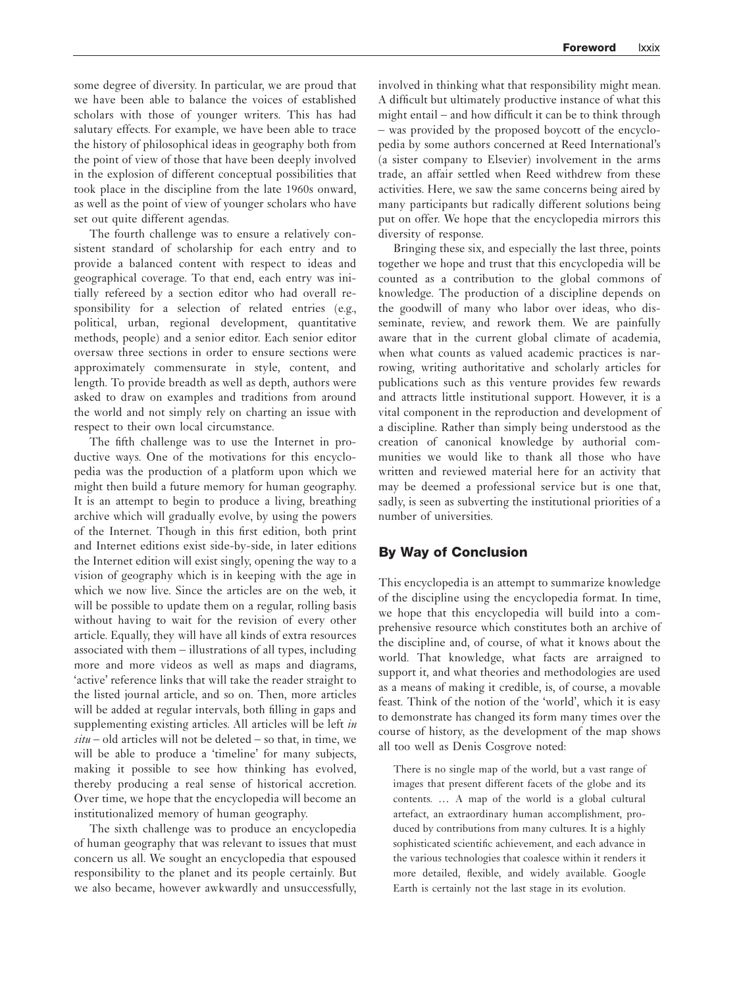some degree of diversity. In particular, we are proud that we have been able to balance the voices of established scholars with those of younger writers. This has had salutary effects. For example, we have been able to trace the history of philosophical ideas in geography both from the point of view of those that have been deeply involved in the explosion of different conceptual possibilities that took place in the discipline from the late 1960s onward, as well as the point of view of younger scholars who have set out quite different agendas.

The fourth challenge was to ensure a relatively consistent standard of scholarship for each entry and to provide a balanced content with respect to ideas and geographical coverage. To that end, each entry was initially refereed by a section editor who had overall responsibility for a selection of related entries (e.g., political, urban, regional development, quantitative methods, people) and a senior editor. Each senior editor oversaw three sections in order to ensure sections were approximately commensurate in style, content, and length. To provide breadth as well as depth, authors were asked to draw on examples and traditions from around the world and not simply rely on charting an issue with respect to their own local circumstance.

The fifth challenge was to use the Internet in productive ways. One of the motivations for this encyclopedia was the production of a platform upon which we might then build a future memory for human geography. It is an attempt to begin to produce a living, breathing archive which will gradually evolve, by using the powers of the Internet. Though in this first edition, both print and Internet editions exist side-by-side, in later editions the Internet edition will exist singly, opening the way to a vision of geography which is in keeping with the age in which we now live. Since the articles are on the web, it will be possible to update them on a regular, rolling basis without having to wait for the revision of every other article. Equally, they will have all kinds of extra resources associated with them – illustrations of all types, including more and more videos as well as maps and diagrams, 'active' reference links that will take the reader straight to the listed journal article, and so on. Then, more articles will be added at regular intervals, both filling in gaps and supplementing existing articles. All articles will be left in  $situ - old$  articles will not be deleted – so that, in time, we will be able to produce a 'timeline' for many subjects, making it possible to see how thinking has evolved, thereby producing a real sense of historical accretion. Over time, we hope that the encyclopedia will become an institutionalized memory of human geography.

The sixth challenge was to produce an encyclopedia of human geography that was relevant to issues that must concern us all. We sought an encyclopedia that espoused responsibility to the planet and its people certainly. But we also became, however awkwardly and unsuccessfully, involved in thinking what that responsibility might mean. A difficult but ultimately productive instance of what this might entail – and how difficult it can be to think through – was provided by the proposed boycott of the encyclopedia by some authors concerned at Reed International's (a sister company to Elsevier) involvement in the arms trade, an affair settled when Reed withdrew from these activities. Here, we saw the same concerns being aired by many participants but radically different solutions being put on offer. We hope that the encyclopedia mirrors this diversity of response.

Bringing these six, and especially the last three, points together we hope and trust that this encyclopedia will be counted as a contribution to the global commons of knowledge. The production of a discipline depends on the goodwill of many who labor over ideas, who disseminate, review, and rework them. We are painfully aware that in the current global climate of academia, when what counts as valued academic practices is narrowing, writing authoritative and scholarly articles for publications such as this venture provides few rewards and attracts little institutional support. However, it is a vital component in the reproduction and development of a discipline. Rather than simply being understood as the creation of canonical knowledge by authorial communities we would like to thank all those who have written and reviewed material here for an activity that may be deemed a professional service but is one that, sadly, is seen as subverting the institutional priorities of a number of universities.

## By Way of Conclusion

This encyclopedia is an attempt to summarize knowledge of the discipline using the encyclopedia format. In time, we hope that this encyclopedia will build into a comprehensive resource which constitutes both an archive of the discipline and, of course, of what it knows about the world. That knowledge, what facts are arraigned to support it, and what theories and methodologies are used as a means of making it credible, is, of course, a movable feast. Think of the notion of the 'world', which it is easy to demonstrate has changed its form many times over the course of history, as the development of the map shows all too well as Denis Cosgrove noted:

There is no single map of the world, but a vast range of images that present different facets of the globe and its contents. ... A map of the world is a global cultural artefact, an extraordinary human accomplishment, produced by contributions from many cultures. It is a highly sophisticated scientific achievement, and each advance in the various technologies that coalesce within it renders it more detailed, flexible, and widely available. Google Earth is certainly not the last stage in its evolution.